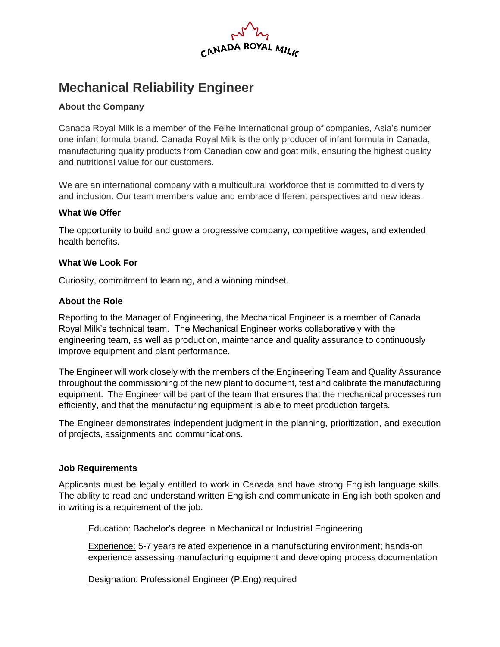

# **Mechanical Reliability Engineer**

# **About the Company**

Canada Royal Milk is a member of the Feihe International group of companies, Asia's number one infant formula brand. Canada Royal Milk is the only producer of infant formula in Canada, manufacturing quality products from Canadian cow and goat milk, ensuring the highest quality and nutritional value for our customers.

We are an international company with a multicultural workforce that is committed to diversity and inclusion. Our team members value and embrace different perspectives and new ideas.

#### **What We Offer**

The opportunity to build and grow a progressive company, competitive wages, and extended health benefits.

#### **What We Look For**

Curiosity, commitment to learning, and a winning mindset.

#### **About the Role**

Reporting to the Manager of Engineering, the Mechanical Engineer is a member of Canada Royal Milk's technical team. The Mechanical Engineer works collaboratively with the engineering team, as well as production, maintenance and quality assurance to continuously improve equipment and plant performance.

The Engineer will work closely with the members of the Engineering Team and Quality Assurance throughout the commissioning of the new plant to document, test and calibrate the manufacturing equipment. The Engineer will be part of the team that ensures that the mechanical processes run efficiently, and that the manufacturing equipment is able to meet production targets.

The Engineer demonstrates independent judgment in the planning, prioritization, and execution of projects, assignments and communications.

#### **Job Requirements**

Applicants must be legally entitled to work in Canada and have strong English language skills. The ability to read and understand written English and communicate in English both spoken and in writing is a requirement of the job.

Education: Bachelor's degree in Mechanical or Industrial Engineering

Experience: 5-7 years related experience in a manufacturing environment; hands-on experience assessing manufacturing equipment and developing process documentation

Designation: Professional Engineer (P.Eng) required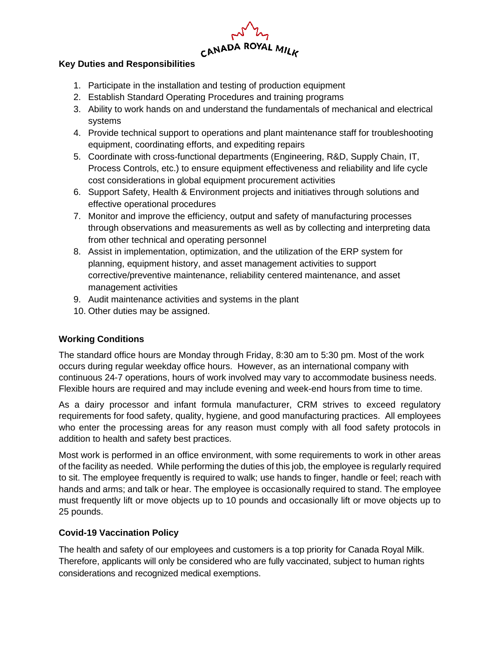$M_{h}$   $M_{h}$ <br>CANADA ROYAL MILK

## **Key Duties and Responsibilities**

- 1. Participate in the installation and testing of production equipment
- 2. Establish Standard Operating Procedures and training programs
- 3. Ability to work hands on and understand the fundamentals of mechanical and electrical systems
- 4. Provide technical support to operations and plant maintenance staff for troubleshooting equipment, coordinating efforts, and expediting repairs
- 5. Coordinate with cross-functional departments (Engineering, R&D, Supply Chain, IT, Process Controls, etc.) to ensure equipment effectiveness and reliability and life cycle cost considerations in global equipment procurement activities
- 6. Support Safety, Health & Environment projects and initiatives through solutions and effective operational procedures
- 7. Monitor and improve the efficiency, output and safety of manufacturing processes through observations and measurements as well as by collecting and interpreting data from other technical and operating personnel
- 8. Assist in implementation, optimization, and the utilization of the ERP system for planning, equipment history, and asset management activities to support corrective/preventive maintenance, reliability centered maintenance, and asset management activities
- 9. Audit maintenance activities and systems in the plant
- 10. Other duties may be assigned.

# **Working Conditions**

The standard office hours are Monday through Friday, 8:30 am to 5:30 pm. Most of the work occurs during regular weekday office hours. However, as an international company with continuous 24-7 operations, hours of work involved may vary to accommodate business needs. Flexible hours are required and may include evening and week-end hours from time to time.

As a dairy processor and infant formula manufacturer, CRM strives to exceed regulatory requirements for food safety, quality, hygiene, and good manufacturing practices. All employees who enter the processing areas for any reason must comply with all food safety protocols in addition to health and safety best practices.

Most work is performed in an office environment, with some requirements to work in other areas of the facility as needed. While performing the duties of this job, the employee is regularly required to sit. The employee frequently is required to walk; use hands to finger, handle or feel; reach with hands and arms; and talk or hear. The employee is occasionally required to stand. The employee must frequently lift or move objects up to 10 pounds and occasionally lift or move objects up to 25 pounds.

#### **Covid-19 Vaccination Policy**

The health and safety of our employees and customers is a top priority for Canada Royal Milk. Therefore, applicants will only be considered who are fully vaccinated, subject to human rights considerations and recognized medical exemptions.